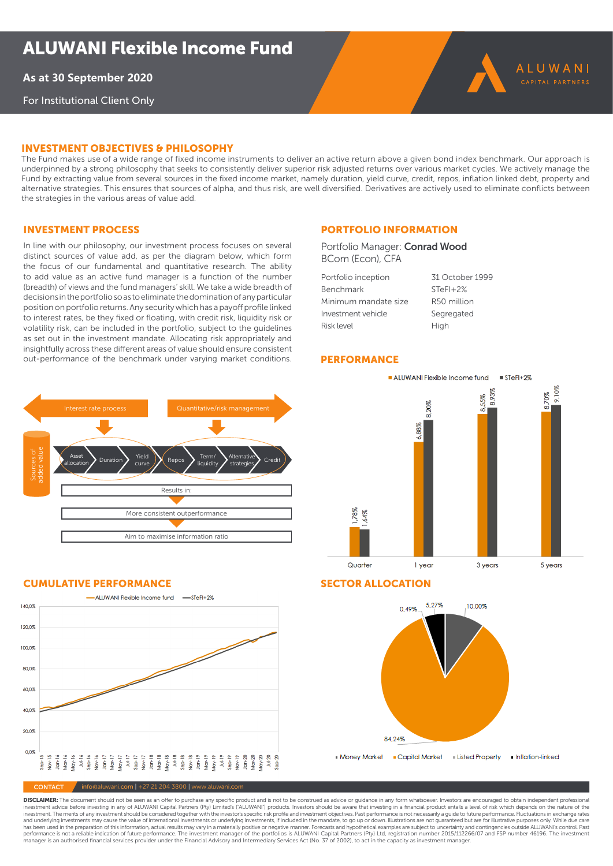**As at 31 July 2021**

For Institutional Client Only

## iNVesTmeNT OBJecTiVes & PHilOsOPHY

The Fund makes use of a wide range of fixed income instruments to deliver an active return above a given bond index benchmark. Our approach is underpinned by a strong philosophy that seeks to consistently deliver superior risk adjusted returns over various market cycles. We actively manage the Fund by extracting value from several sources in the fixed income market, namely duration, yield curve, credit, repos, inflation linked debt, property and alternative strategies. This ensures that sources of alpha, and thus risk, are well diversified. Derivatives are actively used to eliminate conflicts between the strategies in the various areas of value add.

## Investment process

In line with our philosophy, our investment process focuses on several distinct sources of value add, as per the diagram below, which form the focus of our fundamental and quantitative research. The ability to add value as an active fund manager is a function of the number (breadth) of views and the fund managers' skill. We take a wide breadth of decisions in the portfolio so as to eliminate the domination of any particular position on portfolio returns. Any security which has a payoff profile linked to interest rates, be they fixed or floating, with credit risk, liquidity risk or volatility risk, can be included in the portfolio, subject to the guidelines as set out in the investment mandate. Allocating risk appropriately and insightfully across these different areas of value should ensure consistent out-performance of the benchmark under varying market conditions.

Interest rate process **The Cuantitative/risk management** 

Results in:

 $\text{Yield} \sum \text{Repos} \sum \text{Ierm}/ \text{Cubic}$ 

liquidity

**Alternative** strategies Credit

More consistent outperformance

Aim to maximise information ratio

## Portfolio information

Portfolio Manager: Conrad Wood BCom (Econ), CFA

| Portfolio inception  | 31 October 1999 |
|----------------------|-----------------|
| Benchmark            | $STeFI+2%$      |
| Minimum mandate size | R50 million     |
| Investment vehicle   | Segregated      |
| <b>Risk level</b>    | High            |

## **PERFORMANCE**



## CUMULATIVE PERFORMANCE SECTOR ALLOCATION

Sources of added value

Asset

Asset Duration Field<br>allocation Duration urve



 $\sqrt{\frac{1}{100}}$  info@aluwani.com | +27 21 204 3800 | www.aluwani.com

**DISCLAIMER:** The document should not be seen as an offer to purchase any specific product and is not to be construed as advice or guidance in any form whatsoever. Investors are encouraged to obtain independent professiona and underlying investments may cause the value of international investments or underlying investments. if included in the mandate, to go up or down. Illustrations are not quaranteed but are for illustrative purposes only. has been used in the preparation of this information, actual results may vary in a materially positive or negative manner. Forecasts and hypothetical examples are subject to uncertainty and contingencies outside ALUWANI's manager is an authorised financial services provider under the Financial Advisory and Intermediary Services Act (No. 37 of 2002), to act in the capacity as investment manager